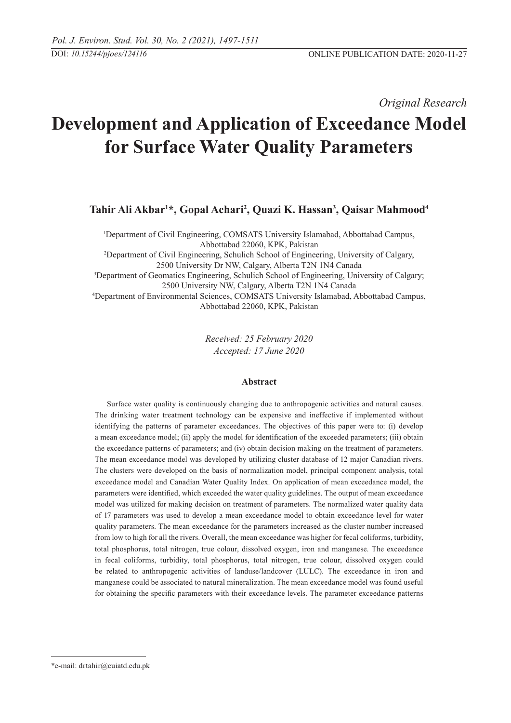*Original Research* 

# **Development and Application of Exceedance Model for Surface Water Quality Parameters**

**Tahir Ali Akbar1 \*, Gopal Achari2 , Quazi K. Hassan3 , Qaisar Mahmood4**

1 Department of Civil Engineering, COMSATS University Islamabad, Abbottabad Campus, Abbottabad 22060, KPK, Pakistan 2 Department of Civil Engineering, Schulich School of Engineering, University of Calgary, 2500 University Dr NW, Calgary, Alberta T2N 1N4 Canada 3 Department of Geomatics Engineering, Schulich School of Engineering, University of Calgary; 2500 University NW, Calgary, Alberta T2N 1N4 Canada 4 Department of Environmental Sciences, COMSATS University Islamabad, Abbottabad Campus, Abbottabad 22060, KPK, Pakistan

> *Received: 25 February 2020 Accepted: 17 June 2020*

# **Abstract**

Surface water quality is continuously changing due to anthropogenic activities and natural causes. The drinking water treatment technology can be expensive and ineffective if implemented without identifying the patterns of parameter exceedances. The objectives of this paper were to: (i) develop a mean exceedance model; (ii) apply the model for identification of the exceeded parameters; (iii) obtain the exceedance patterns of parameters; and (iv) obtain decision making on the treatment of parameters. The mean exceedance model was developed by utilizing cluster database of 12 major Canadian rivers. The clusters were developed on the basis of normalization model, principal component analysis, total exceedance model and Canadian Water Quality Index. On application of mean exceedance model, the parameters were identified, which exceeded the water quality guidelines. The output of mean exceedance model was utilized for making decision on treatment of parameters. The normalized water quality data of 17 parameters was used to develop a mean exceedance model to obtain exceedance level for water quality parameters. The mean exceedance for the parameters increased as the cluster number increased from low to high for all the rivers. Overall, the mean exceedance was higher for fecal coliforms, turbidity, total phosphorus, total nitrogen, true colour, dissolved oxygen, iron and manganese. The exceedance in fecal coliforms, turbidity, total phosphorus, total nitrogen, true colour, dissolved oxygen could be related to anthropogenic activities of landuse/landcover (LULC). The exceedance in iron and manganese could be associated to natural mineralization. The mean exceedance model was found useful for obtaining the specific parameters with their exceedance levels. The parameter exceedance patterns

<sup>\*</sup>e-mail: drtahir@cuiatd.edu.pk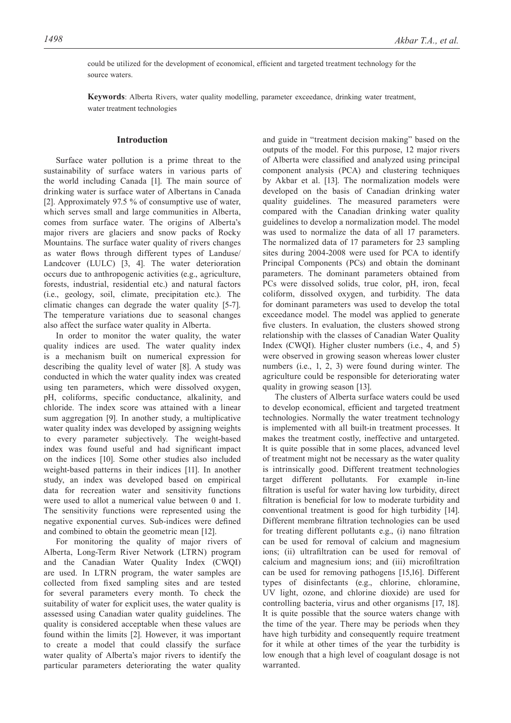could be utilized for the development of economical, efficient and targeted treatment technology for the source waters.

**Keywords**: Alberta Rivers, water quality modelling, parameter exceedance, drinking water treatment, water treatment technologies

# **Introduction**

Surface water pollution is a prime threat to the sustainability of surface waters in various parts of the world including Canada [1]. The main source of drinking water is surface water of Albertans in Canada [2]. Approximately 97.5 % of consumptive use of water, which serves small and large communities in Alberta, comes from surface water. The origins of Alberta's major rivers are glaciers and snow packs of Rocky Mountains. The surface water quality of rivers changes as water flows through different types of Landuse/ Landcover (LULC) [3, 4]. The water deterioration occurs due to anthropogenic activities (e.g., agriculture, forests, industrial, residential etc.) and natural factors (i.e., geology, soil, climate, precipitation etc.). The climatic changes can degrade the water quality [5-7]. The temperature variations due to seasonal changes also affect the surface water quality in Alberta.

In order to monitor the water quality, the water quality indices are used. The water quality index is a mechanism built on numerical expression for describing the quality level of water [8]. A study was conducted in which the water quality index was created using ten parameters, which were dissolved oxygen, pH, coliforms, specific conductance, alkalinity, and chloride. The index score was attained with a linear sum aggregation [9]. In another study, a multiplicative water quality index was developed by assigning weights to every parameter subjectively. The weight-based index was found useful and had significant impact on the indices [10]. Some other studies also included weight-based patterns in their indices [11]. In another study, an index was developed based on empirical data for recreation water and sensitivity functions were used to allot a numerical value between 0 and 1. The sensitivity functions were represented using the negative exponential curves. Sub-indices were defined and combined to obtain the geometric mean [12].

For monitoring the quality of major rivers of Alberta, Long-Term River Network (LTRN) program and the Canadian Water Quality Index (CWQI) are used. In LTRN program, the water samples are collected from fixed sampling sites and are tested for several parameters every month. To check the suitability of water for explicit uses, the water quality is assessed using Canadian water quality guidelines. The quality is considered acceptable when these values are found within the limits [2]. However, it was important to create a model that could classify the surface water quality of Alberta's major rivers to identify the particular parameters deteriorating the water quality

and guide in "treatment decision making" based on the outputs of the model. For this purpose, 12 major rivers of Alberta were classified and analyzed using principal component analysis (PCA) and clustering techniques by Akbar et al. [13]. The normalization models were developed on the basis of Canadian drinking water quality guidelines. The measured parameters were compared with the Canadian drinking water quality guidelines to develop a normalization model. The model was used to normalize the data of all 17 parameters. The normalized data of 17 parameters for 23 sampling sites during 2004-2008 were used for PCA to identify Principal Components (PCs) and obtain the dominant parameters. The dominant parameters obtained from PCs were dissolved solids, true color, pH, iron, fecal coliform, dissolved oxygen, and turbidity. The data for dominant parameters was used to develop the total exceedance model. The model was applied to generate five clusters. In evaluation, the clusters showed strong relationship with the classes of Canadian Water Quality Index (CWQI). Higher cluster numbers (i.e., 4, and 5) were observed in growing season whereas lower cluster numbers (i.e., 1, 2, 3) were found during winter. The agriculture could be responsible for deteriorating water quality in growing season [13].

The clusters of Alberta surface waters could be used to develop economical, efficient and targeted treatment technologies. Normally the water treatment technology is implemented with all built-in treatment processes. It makes the treatment costly, ineffective and untargeted. It is quite possible that in some places, advanced level of treatment might not be necessary as the water quality is intrinsically good. Different treatment technologies target different pollutants. For example in-line filtration is useful for water having low turbidity, direct filtration is beneficial for low to moderate turbidity and conventional treatment is good for high turbidity [14]. Different membrane filtration technologies can be used for treating different pollutants e.g., (i) nano filtration can be used for removal of calcium and magnesium ions; (ii) ultrafiltration can be used for removal of calcium and magnesium ions; and (iii) microfiltration can be used for removing pathogens [15,16]. Different types of disinfectants (e.g., chlorine, chloramine, UV light, ozone, and chlorine dioxide) are used for controlling bacteria, virus and other organisms [17, 18]. It is quite possible that the source waters change with the time of the year. There may be periods when they have high turbidity and consequently require treatment for it while at other times of the year the turbidity is low enough that a high level of coagulant dosage is not warranted.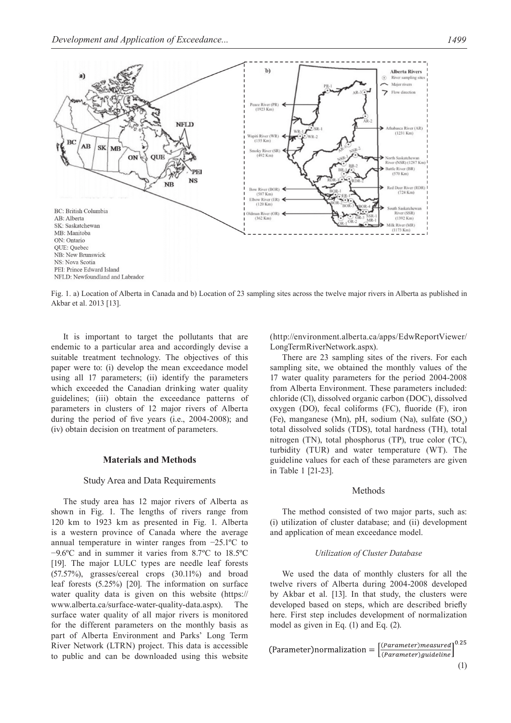

Fig. 1. a) Location of Alberta in Canada and b) Location of 23 sampling sites across the twelve major rivers in Alberta as published in Akbar et al. 2013 [13].

It is important to target the pollutants that are endemic to a particular area and accordingly devise a suitable treatment technology. The objectives of this paper were to: (i) develop the mean exceedance model using all 17 parameters; (ii) identify the parameters which exceeded the Canadian drinking water quality guidelines; (iii) obtain the exceedance patterns of parameters in clusters of 12 major rivers of Alberta during the period of five years (i.e., 2004-2008); and (iv) obtain decision on treatment of parameters.

#### **Materials and Methods**

# Study Area and Data Requirements

The study area has 12 major rivers of Alberta as shown in Fig. 1. The lengths of rivers range from 120 km to 1923 km as presented in Fig. 1. Alberta is a western province of Canada where the average annual temperature in winter ranges from −25.1ºC to −9.6ºC and in summer it varies from 8.7ºC to 18.5ºC [19]. The major LULC types are needle leaf forests (57.57%), grasses/cereal crops (30.11%) and broad leaf forests (5.25%) [20]. The information on surface water quality data is given on this website (https:// www.alberta.ca/surface-water-quality-data.aspx). The surface water quality of all major rivers is monitored for the different parameters on the monthly basis as part of Alberta Environment and Parks' Long Term River Network (LTRN) project. This data is accessible to public and can be downloaded using this website (http://environment.alberta.ca/apps/EdwReportViewer/ LongTermRiverNetwork.aspx).

There are 23 sampling sites of the rivers. For each sampling site, we obtained the monthly values of the 17 water quality parameters for the period 2004-2008 from Alberta Environment. These parameters included: chloride (Cl), dissolved organic carbon (DOC), dissolved oxygen (DO), fecal coliforms (FC), fluoride (F), iron (Fe), manganese (Mn), pH, sodium (Na), sulfate  $(SO<sub>4</sub>)$ total dissolved solids (TDS), total hardness (TH), total nitrogen (TN), total phosphorus (TP), true color (TC), turbidity (TUR) and water temperature (WT). The guideline values for each of these parameters are given in Table 1 [21-23].

# Methods

The method consisted of two major parts, such as: (i) utilization of cluster database; and (ii) development and application of mean exceedance model.

#### *Utilization of Cluster Database*

We used the data of monthly clusters for all the twelve rivers of Alberta during 2004-2008 developed by Akbar et al. [13]. In that study, the clusters were developed based on steps, which are described briefly here. First step includes development of normalization model as given in Eq. (1) and Eq. (2).

$$
(\text{Parameter}) \text{normalization} = \left[\frac{(Parameter) \text{measured}}{(Parameter) \text{guideline}}\right]^{0.25}
$$
\n
$$
\tag{1}
$$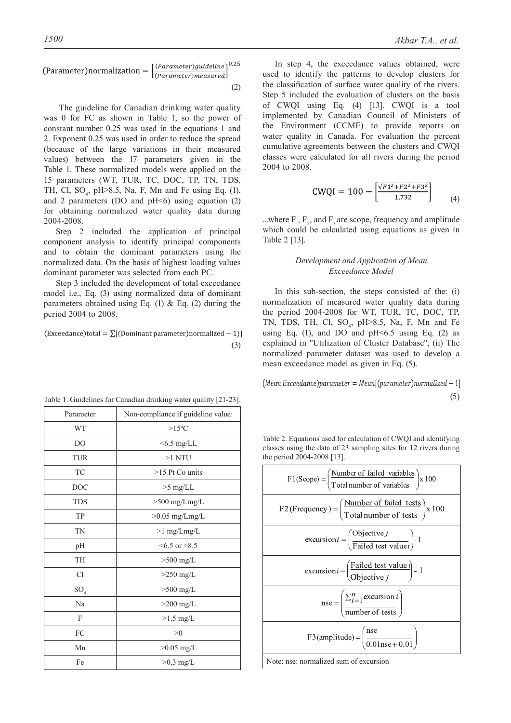$$
(\text{Parameter}) \text{normalization} = \left[ \frac{(\text{Parameter}) \text{guideline}}{(\text{Parameter}) \text{measured}} \right]^{0.25}
$$
\n
$$
\tag{2}
$$

 $0.25$ 

 The guideline for Canadian drinking water quality was 0 for FC as shown in Table 1, so the power of constant number 0.25 was used in the equations 1 and 2. Exponent 0.25 was used in order to reduce the spread (because of the large variations in their measured values) between the 17 parameters given in the Table 1. These normalized models were applied on the 15 parameters (WT, TUR, TC, DOC, TP, TN, TDS, TH, Cl,  $SO_4$ , pH $>8.5$ , Na, F, Mn and Fe using Eq. (1), and 2 parameters (DO and  $pH<6$ ) using equation (2) for obtaining normalized water quality data during 2004-2008.

Step 2 included the application of principal component analysis to identify principal components and to obtain the dominant parameters using the normalized data. On the basis of highest loading values dominant parameter was selected from each PC.

Step 3 included the development of total exceedance model i.e., Eq. (3) using normalized data of dominant parameters obtained using Eq. (1)  $&$  Eq. (2) during the period 2004 to 2008.

(Exceedance)total =  $\sum$ [(Dominant parameter)normalized - 1)] (3)

| Parameter       | Non-compliance if guideline value: |
|-----------------|------------------------------------|
| WT              | $>15^{\circ}$ C                    |
| D <sub>O</sub>  | $<6.5$ mg/LL                       |
| <b>TUR</b>      | $>1$ NTU                           |
| TC              | $>15$ Pt Co units                  |
| <b>DOC</b>      | $>5$ mg/LL                         |
| <b>TDS</b>      | $>500$ mg/Lmg/L                    |
| TP              | $>0.05$ mg/Lmg/L                   |
| TN              | $>1$ mg/Lmg/L                      |
| pH              | $\leq 6.5$ or $\geq 8.5$           |
| TH              | $>500$ mg/L                        |
| Cl              | $>250$ mg/L                        |
| SO <sub>4</sub> | $>500$ mg/L                        |
| Na              | $>200$ mg/L                        |
| F               | $>1.5$ mg/L                        |
| FC              | >0                                 |
| Mn              | $>0.05$ mg/L                       |
| Fe              | $>0.3$ mg/L                        |

|  |  | Table 1. Guidelines for Canadian drinking water quality [21-23] |  |  |  |  |  |  |  |  |
|--|--|-----------------------------------------------------------------|--|--|--|--|--|--|--|--|
|--|--|-----------------------------------------------------------------|--|--|--|--|--|--|--|--|

In step 4, the exceedance values obtained, were used to identify the patterns to develop clusters for the classification of surface water quality of the rivers. Step 5 included the evaluation of clusters on the basis of CWQI using Eq. (4) [13]. CWQI is a tool implemented by Canadian Council of Ministers of the Environment (CCME) to provide reports on water quality in Canada. For evaluation the percent cumulative agreements between the clusters and CWQI classes were calculated for all rivers during the period 2004 to 2008.

$$
CWQI = 100 - \left[ \frac{\sqrt{F1^2 + F2^2 + F3^2}}{1.732} \right]
$$
 (4)

...where  $F_1$ ,  $F_2$ , and  $F_3$  are scope, frequency and amplitude which could be calculated using equations as given in Table 2 [13].

# *Development and Application of Mean Exceedance Model*

In this sub-section, the steps consisted of the: (i) normalization of measured water quality data during the period 2004-2008 for WT, TUR, TC, DOC, TP, TN, TDS, TH, Cl,  $SO_4$ ,  $pH > 8.5$ , Na, F, Mn and Fe using Eq. (1), and DO and  $pH<6.5$  using Eq. (2) as explained in "Utilization of Cluster Database"; (ii) The normalized parameter dataset was used to develop a mean exceedance model as given in Eq. (5).

 $(Mean Exerciseedance) parameter = Mean[(parameter) normalized - 1]$ Table 1. Guidelines for Canadian drinking water quality [21-23]. (5)

Table 2. Equations used for calculation of CWQI and identifying classes using the data of 23 sampling sites for 12 rivers during the period 2004-2008 [13].



Note: nse: normalized sum of excursion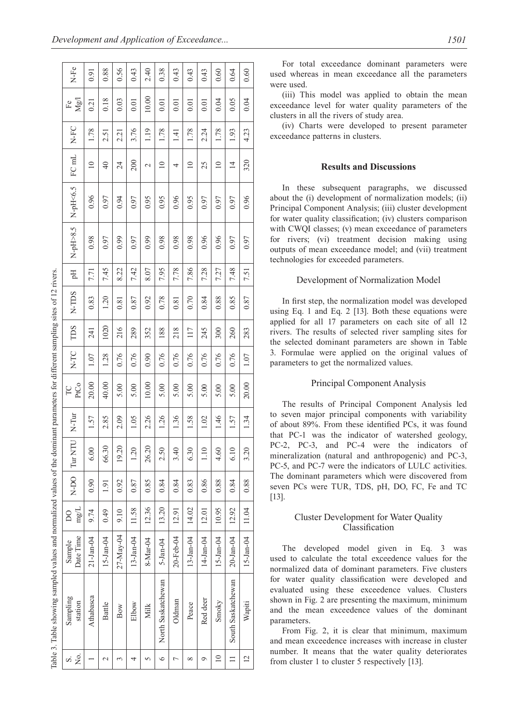|                                                                                                                                   | $N-Fe$                   | 0.91              | 0.88          | 0.56      | 0.43         | 2.40        | 0.38               | 0.43          | 0.43        | 0.43             | 0.60            | 0.64               | 0.60           |
|-----------------------------------------------------------------------------------------------------------------------------------|--------------------------|-------------------|---------------|-----------|--------------|-------------|--------------------|---------------|-------------|------------------|-----------------|--------------------|----------------|
|                                                                                                                                   | $\rm Mg/$<br>$_{\rm Fe}$ | $\overline{0.21}$ | 0.18          | 0.03      | 0.01         | 10.00       | 0.01               | 0.01          | 0.01        | $\overline{0.0}$ | 0.04            | 0.05               | 0.04           |
|                                                                                                                                   | N-FC                     | 1.78              | 2.51          | 2.21      | 3.76         | 1.19        | 1.78               | $\frac{1}{4}$ | 1.78        | 2.24             | 1.78            | 1.93               | 4.23           |
|                                                                                                                                   | FC mL                    | $\supseteq$       | $\Theta$      | 24        | 200          | $\mathbf 2$ | $\equiv$           | 4             | $\supseteq$ | 25               | $\supseteq$     | $\overline{4}$     | 320            |
|                                                                                                                                   | $N$ -pH<6.5              | 0.96              | 0.97          | 0.94      | 0.97         | 0.95        | 0.95               | 0.96          | 0.95        | 0.97             | 0.97            | 0.97               | 0.96           |
|                                                                                                                                   | $N-pH>8.5$               | 0.98              | 0.97          | 0.99      | 0.97         | 0.99        | 0.98               | 0.98          | 0.98        | 0.96             | 0.96            | 0.97               | 0.97           |
|                                                                                                                                   | Hq                       | 771               | 7.45          | 8.22      | 7.42         | 8.07        | 7.95               | 7.78          | 7.86        | 7.28             | 7.27            | 7.48               | 7.51           |
|                                                                                                                                   | N-TDS                    | 0.83              | 1.20          | 0.81      | 0.87         | 0.92        | 0.78               | 0.81          | 0.70        | 0.84             | 0.88            | 0.85               | 0.87           |
|                                                                                                                                   | TDS                      | 241               | 1020          | 216       | 289          | 352         | 188                | 218           | 117         | 245              | 300             | 260                | 283            |
|                                                                                                                                   | N-TC                     | 1.07              | 1.28          | 0.76      | 0.76         | 0.90        | 0.76               | 0.76          | 0.76        | 0.76             | 0.76            | 0.76               | 1.07           |
|                                                                                                                                   | PtCo<br>PC               | 20.00             | 40.00         | 5.00      | 5.00         | 10.00       | 5.00               | 5.00          | 5.00        | 5.00             | 5.00            | 5.00               | 20.00          |
|                                                                                                                                   | $N-Tur$                  | 1.57              | 2.85          | 2.09      | 1.05         | 2.26        | 1.26               | 136           | 1.58        | 1.02             | 1.46            | 1.57               | 1.34           |
|                                                                                                                                   | N-DO Tur NTU             | 6.00              | 66.30         | 19.20     | 1.20         | 26.20       | 2.50               | 3.40          | 6.30        | 1.10             | 4.60            | 6.10               | 3.20           |
|                                                                                                                                   |                          | 0.90              | 1.91          | 0.92      | 0.87         | 0.85        | 0.84               | 0.84          | 0.83        | 0.86             | 0.88            | 0.84               | 0.88           |
|                                                                                                                                   | $\rm mg/L$<br>င္က        | 9.74              | 0.49          | 9.10      | 11.58        | 12.36       | 13.20              | 12.91         | 14.02       | 12.01            | 10.95           | 12.92              | 11.04          |
|                                                                                                                                   | Date Time<br>Sample      | 21-Jan-04         | $15 - Jan-04$ | 27-May-04 | $13$ -Jan-04 | 8-Mar-04    | $5$ -Jan-04        | 20-Feb-04     | 13-Jan-04   | 14-Jan-04        | $15 - Jan - 04$ | $20 - Jan - 04$    | $15 - Jan-04$  |
| Table 3. Table showing sampled values and normalized values of the dominant parameters for different sampling sites of 12 rivers. | Sampling<br>station      | Athabasca         | Battle        | Bow       | Elbow        | Milk        | North Saskatchewan | Oldman        | Peace       | Red deer         | Smoky           | South Saskatchewan | Wapiti         |
|                                                                                                                                   | Σó<br>si                 |                   | $\mathcal{L}$ | 3         | 4            | 5           | $\circ$            |               | ∞           | ᢦ                | $\overline{10}$ | $\equiv$           | $\overline{c}$ |

For total exceedance dominant parameters were used whereas in mean exceedance all the parameters were used.

(iii) This model was applied to obtain the mean exceedance level for water quality parameters of the clusters in all the rivers of study area.

(iv) Charts were developed to present parameter exceedance patterns in clusters.

# **Results and Discussions**

In these subsequent paragraphs, we discussed about the (i) development of normalization models; (ii) Principal Component Analysis; (iii) cluster development for water quality classification; (iv) clusters comparison with CWQI classes; (v) mean exceedance of parameters for rivers; (vi) treatment decision making using outputs of mean exceedance model; and (vii) treatment technologies for exceeded parameters.

## Development of Normalization Model

In first step, the normalization model was developed using Eq. 1 and Eq. 2 [13]. Both these equations were applied for all 17 parameters on each site of all 12 rivers. The results of selected river sampling sites for the selected dominant parameters are shown in Table 3. Formulae were applied on the original values of parameters to get the normalized values.

## Principal Component Analysis

The results of Principal Component Analysis led to seven major principal components with variability of about 89%. From these identified PCs, it was found that PC-1 was the indicator of watershed geology, PC-2, PC-3, and PC-4 were the indicators of mineralization (natural and anthropogenic) and PC-3, PC-5, and PC-7 were the indicators of LULC activities. The dominant parameters which were discovered from seven PCs were TUR, TDS, pH, DO, FC, Fe and TC [13].

# Cluster Development for Water Quality Classification

The developed model given in Eq. 3 was used to calculate the total exceedence values for the normalized data of dominant parameters. Five clusters for water quality classification were developed and evaluated using these exceedence values. Clusters shown in Fig. 2 are presenting the maximum, minimum and the mean exceedence values of the dominant parameters.

From Fig. 2, it is clear that minimum, maximum and mean exceedence increases with increase in cluster number. It means that the water quality deteriorates from cluster 1 to cluster 5 respectively [13].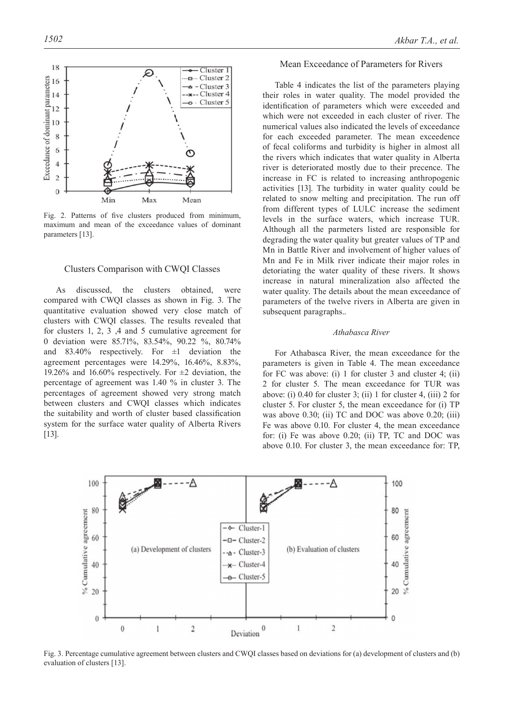

Fig. 2. Patterns of five clusters produced from minimum, maximum and mean of the exceedance values of dominant parameters [13].

#### Clusters Comparison with CWQI Classes

As discussed, the clusters obtained, were compared with CWQI classes as shown in Fig. 3. The quantitative evaluation showed very close match of clusters with CWQI classes. The results revealed that for clusters 1, 2, 3 ,4 and 5 cumulative agreement for 0 deviation were 85.71%, 83.54%, 90.22 %, 80.74% and  $83.40\%$  respectively. For  $\pm 1$  deviation the agreement percentages were 14.29%, 16.46%, 8.83%, 19.26% and 16.60% respectively. For  $\pm 2$  deviation, the percentage of agreement was 1.40 % in cluster 3. The percentages of agreement showed very strong match between clusters and CWQI classes which indicates the suitability and worth of cluster based classification system for the surface water quality of Alberta Rivers [13].

# Mean Exceedance of Parameters for Rivers

Table 4 indicates the list of the parameters playing their roles in water quality. The model provided the identification of parameters which were exceeded and which were not exceeded in each cluster of river. The numerical values also indicated the levels of exceedance for each exceeded parameter. The mean exceedence of fecal coliforms and turbidity is higher in almost all the rivers which indicates that water quality in Alberta river is deteriorated mostly due to their precence. The increase in FC is related to increasing anthropogenic activities [13]. The turbidity in water quality could be related to snow melting and precipitation. The run off from different types of LULC increase the sediment levels in the surface waters, which increase TUR. Although all the parmeters listed are responsible for degrading the water quality but greater values of TP and Mn in Battle River and involvement of higher values of Mn and Fe in Milk river indicate their major roles in detoriating the water quality of these rivers. It shows increase in natural mineralization also affected the water quality. The details about the mean exceedance of parameters of the twelve rivers in Alberta are given in subsequent paragraphs..

# *Athabasca River*

For Athabasca River, the mean exceedance for the parameters is given in Table 4. The mean exceedance for FC was above: (i) 1 for cluster 3 and cluster 4; (ii) 2 for cluster 5. The mean exceedance for TUR was above: (i) 0.40 for cluster 3; (ii) 1 for cluster 4, (iii) 2 for cluster 5. For cluster 5, the mean exceedance for (i) TP was above 0.30; (ii) TC and DOC was above 0.20; (iii) Fe was above 0.10. For cluster 4, the mean exceedance for: (i) Fe was above 0.20; (ii) TP, TC and DOC was above 0.10. For cluster 3, the mean exceedance for: TP,



Fig. 3. Percentage cumulative agreement between clusters and CWQI classes based on deviations for (a) development of clusters and (b) evaluation of clusters [13].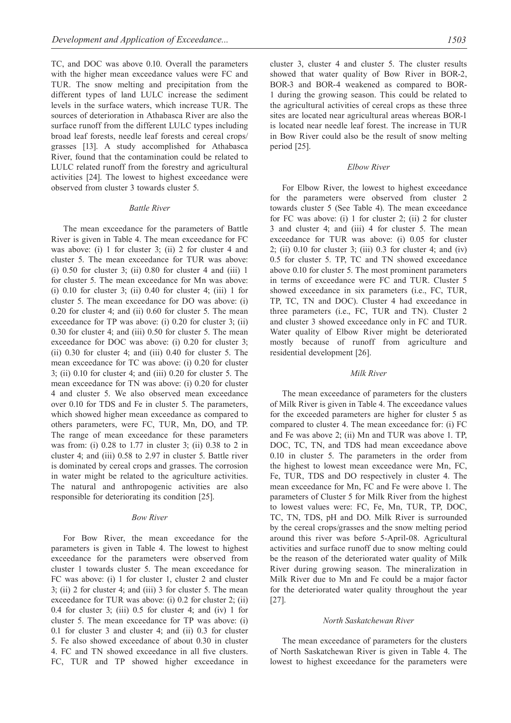TC, and DOC was above 0.10. Overall the parameters with the higher mean exceedance values were FC and TUR. The snow melting and precipitation from the different types of land LULC increase the sediment levels in the surface waters, which increase TUR. The sources of deterioration in Athabasca River are also the surface runoff from the different LULC types including broad leaf forests, needle leaf forests and cereal crops/ grasses [13]. A study accomplished for Athabasca River, found that the contamination could be related to LULC related runoff from the forestry and agricultural activities [24]. The lowest to highest exceedance were observed from cluster 3 towards cluster 5.

## *Battle River*

The mean exceedance for the parameters of Battle River is given in Table 4. The mean exceedance for FC was above: (i) 1 for cluster 3; (ii) 2 for cluster 4 and cluster 5. The mean exceedance for TUR was above: (i)  $0.50$  for cluster 3; (ii)  $0.80$  for cluster 4 and (iii) 1 for cluster 5. The mean exceedance for Mn was above: (i)  $0.10$  for cluster 3; (ii)  $0.40$  for cluster 4; (iii) 1 for cluster 5. The mean exceedance for DO was above: (i) 0.20 for cluster 4; and (ii) 0.60 for cluster 5. The mean exceedance for TP was above: (i) 0.20 for cluster 3; (ii) 0.30 for cluster 4; and (iii) 0.50 for cluster 5. The mean exceedance for DOC was above: (i) 0.20 for cluster 3; (ii) 0.30 for cluster 4; and (iii) 0.40 for cluster 5. The mean exceedance for TC was above: (i) 0.20 for cluster 3; (ii) 0.10 for cluster 4; and (iii) 0.20 for cluster 5. The mean exceedance for TN was above: (i) 0.20 for cluster 4 and cluster 5. We also observed mean exceedance over 0.10 for TDS and Fe in cluster 5. The parameters, which showed higher mean exceedance as compared to others parameters, were FC, TUR, Mn, DO, and TP. The range of mean exceedance for these parameters was from: (i) 0.28 to 1.77 in cluster 3; (ii) 0.38 to 2 in cluster 4; and (iii) 0.58 to 2.97 in cluster 5. Battle river is dominated by cereal crops and grasses. The corrosion in water might be related to the agriculture activities. The natural and anthropogenic activities are also responsible for deteriorating its condition [25].

#### *Bow River*

For Bow River, the mean exceedance for the parameters is given in Table 4. The lowest to highest exceedance for the parameters were observed from cluster 1 towards cluster 5. The mean exceedance for FC was above: (i) 1 for cluster 1, cluster 2 and cluster 3; (ii) 2 for cluster 4; and (iii) 3 for cluster 5. The mean exceedance for TUR was above: (i) 0.2 for cluster 2; (ii) 0.4 for cluster 3; (iii) 0.5 for cluster 4; and (iv) 1 for cluster 5. The mean exceedance for TP was above: (i) 0.1 for cluster 3 and cluster 4; and (ii) 0.3 for cluster 5. Fe also showed exceedance of about 0.30 in cluster 4. FC and TN showed exceedance in all five clusters. FC, TUR and TP showed higher exceedance in cluster 3, cluster 4 and cluster 5. The cluster results showed that water quality of Bow River in BOR-2, BOR-3 and BOR-4 weakened as compared to BOR-1 during the growing season. This could be related to the agricultural activities of cereal crops as these three sites are located near agricultural areas whereas BOR-1 is located near needle leaf forest. The increase in TUR in Bow River could also be the result of snow melting period [25].

## *Elbow River*

For Elbow River, the lowest to highest exceedance for the parameters were observed from cluster 2 towards cluster 5 (See Table 4). The mean exceedance for FC was above: (i) 1 for cluster 2; (ii) 2 for cluster 3 and cluster 4; and (iii) 4 for cluster 5. The mean exceedance for TUR was above: (i) 0.05 for cluster  $2$ ; (ii)  $0.10$  for cluster 3; (iii)  $0.3$  for cluster 4; and (iv) 0.5 for cluster 5. TP, TC and TN showed exceedance above 0.10 for cluster 5. The most prominent parameters in terms of exceedance were FC and TUR. Cluster 5 showed exceedance in six parameters (i.e., FC, TUR, TP, TC, TN and DOC). Cluster 4 had exceedance in three parameters (i.e., FC, TUR and TN). Cluster 2 and cluster 3 showed exceedance only in FC and TUR. Water quality of Elbow River might be deteriorated mostly because of runoff from agriculture and residential development [26].

#### *Milk River*

The mean exceedance of parameters for the clusters of Milk River is given in Table 4. The exceedance values for the exceeded parameters are higher for cluster 5 as compared to cluster 4. The mean exceedance for: (i) FC and Fe was above 2; (ii) Mn and TUR was above 1. TP, DOC, TC, TN, and TDS had mean exceedance above 0.10 in cluster 5. The parameters in the order from the highest to lowest mean exceedance were Mn, FC, Fe, TUR, TDS and DO respectively in cluster 4. The mean exceedance for Mn, FC and Fe were above 1. The parameters of Cluster 5 for Milk River from the highest to lowest values were: FC, Fe, Mn, TUR, TP, DOC, TC, TN, TDS, pH and DO. Milk River is surrounded by the cereal crops/grasses and the snow melting period around this river was before 5-April-08. Agricultural activities and surface runoff due to snow melting could be the reason of the deteriorated water quality of Milk River during growing season. The mineralization in Milk River due to Mn and Fe could be a major factor for the deteriorated water quality throughout the year [27].

## *North Saskatchewan River*

The mean exceedance of parameters for the clusters of North Saskatchewan River is given in Table 4. The lowest to highest exceedance for the parameters were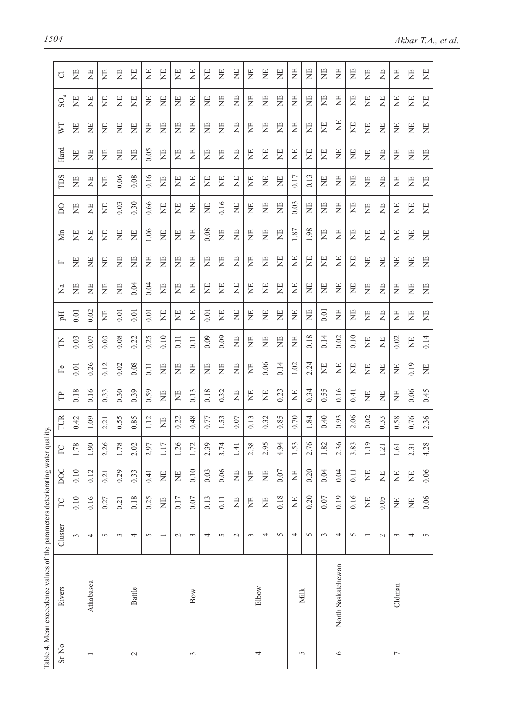|                | Table 4. Mean exceedence values of the parameters deteriorating water quality. |                          |       |            |                                       |      |                |              |       |       |                  |       |          |                |       |       |                         |                 |       |
|----------------|--------------------------------------------------------------------------------|--------------------------|-------|------------|---------------------------------------|------|----------------|--------------|-------|-------|------------------|-------|----------|----------------|-------|-------|-------------------------|-----------------|-------|
| Sr. No         | Rivers                                                                         | Cluster                  | TC    | <b>DOC</b> | $\mathsf{r}$ )<br>$\widetilde{F}$     | TUR  | F              | $\mathbb{E}$ | E     | Eq    | $\sum_{i=1}^{n}$ | 匞     | Мn       | $\overline{D}$ | TDS   | Hard  | $\overline{\mathbb{V}}$ | $\mathrm{SO}_4$ | U     |
|                |                                                                                | 3                        | 0.10  | 0.10       | $\infty$<br>1.7                       | 0.42 | 0.18           | 0.01         | 0.03  | 0.01  | 岂                | $\Xi$ | ΣÄ       | Ë              | Ë     | 岂     | $\Xi$                   | Ë               | 岂     |
|                | Athabasca                                                                      | $\overline{4}$           | 0.16  | 0.12       | $\circ$<br>$\overline{1.9}$           | 1.09 | 0.16           | 0.26         | 0.07  | 0.02  | $\Xi$            | $\Xi$ | Ë        | Ë              | Ë     | $\Xi$ | $\Xi$                   | Ë               | Ë     |
|                |                                                                                | 5                        | 0.27  | 0.21       | $\circ$<br>2.2                        | 2.21 | 0.33           | 0.12         | 0.03  | $\Xi$ | $\Xi$            | $\Xi$ | Ë        | Ë              | 岂     | $\Xi$ | Ë                       | Ë               | Ë     |
|                |                                                                                | 3                        | 0.21  | 0.29       | $\infty$<br>1.7                       | 0.55 | 0.30           | 0.02         | 0.08  | 0.01  | Ë                | Ë     | 岂        | 0.03           | 0.06  | Ë     | Ë                       | Ë               | Ë     |
| $\sim$         | Battle                                                                         | 4                        | 0.18  | 0.33       | Ō,<br>2.0                             | 0.85 | 0.39           | 0.08         | 0.22  | 0.01  | 0.04             | Ë     | Ë        | 0.30           | 0.08  | Ë     | Ë                       | 岂               | $\Xi$ |
|                |                                                                                | 5                        | 0.25  | 0.41       | 2.97                                  | 1.12 | 0.59           | 0.11         | 0.25  | 0.01  | 0.04             | Ë     | 1.06     | 0.66           | 0.16  | 0.05  | Ë                       | Ë               | $\Xi$ |
|                |                                                                                | $\overline{\phantom{0}}$ | $\Xi$ | Ë          | 7<br>$\Xi$                            | Ë    | $\overline{z}$ | $\Xi$        | 0.10  | Ë     | 岂                | Ë     | $\Xi$    | Ë              | Ë     | 岂     | $\Xi$                   | $\Xi$           | $\Xi$ |
|                |                                                                                | $\mathcal{L}$            | 0.17  | 岂          | $\circ$<br>$\overline{c}$             | 0.22 | $\Xi$          | EN           | 0.11  | Ë     | Ë                | $\Xi$ | $\Xi$    | Ë              | Ë     | Ë     | Ë                       | $\Xi$           | Ë     |
| 3              | Bow                                                                            | 3                        | 0.07  | 0.10       | $\sim$<br>$\overline{1.7}$            | 0.48 | 0.13           | 岂            | 0.11  | Ë     | Ë                | $\Xi$ | 岂        | Ë              | 岂     | Ë     | $\Xi$                   | Ë               | Ë     |
|                |                                                                                | 4                        | 0.13  | 0.03       | $\circ$<br>2.3                        | 0.77 | 0.18           | Ë            | 0.09  | 0.01  | $\Xi$            | Ë     | 0.08     | Ë              | 岂     | $\Xi$ | $\overline{E}$          | Ë               | Ë     |
|                |                                                                                | 5                        | 0.11  | 0.06       | 4<br>3.7                              | 1.53 | 0.32           | 岂            | 0.09  | $\Xi$ | EN               | Ë     | 岂        | 0.16           | 岂     | H     | Ë                       | Ë               | Ë     |
|                |                                                                                | $\mathcal{L}$            | Ë     | $\Xi$      | $\overline{\phantom{0}}$<br>$\vec{a}$ | 0.07 | Ë              | Ë            | Ë     | Ë     | Ë                | Ë     | $\Xi$    | Ë              | $\Xi$ | 岂     | Ë                       | 岂               | Ë     |
|                | Elbow                                                                          | $\sim$                   | 岂     | $\Xi$      | $\infty$<br>23                        | 0.13 | Ë              | Ë            | $\Xi$ | Ë     | Ë                | Ë     | Ë        | EN             | Ë     | 岂     | Ë                       | Ë               | $\Xi$ |
| 4              |                                                                                | 4                        | $\Xi$ | $\Xi$      | 5<br>$\mathsf{C}$<br>$\sim$           | 0.32 | Ë              | 0.06         | $\Xi$ | 岂     | 岂                | $\Xi$ | $\Xi$    | $\Xi$          | 岂     | 岂     | 岂                       | 岂               | $\Xi$ |
|                |                                                                                | 5                        | 0.18  | 0.07       | ¥,<br>$\frac{9}{4}$                   | 0.85 | 0.23           | 0.14         | Ë     | 岂     | 岂                | Ë     | ΣÄ       | Ë              | 岂     | 岂     | Ë                       | $\Xi$           | Ë     |
| 5              | Milk                                                                           | 4                        | Ë     | Ë          | 1.53                                  | 0.70 | EN             | 1.02         | $\Xi$ | 岂     | 岂                | EN    | $1.87\,$ | 0.03           | 0.17  | 岂     | $\Xi$                   | $\Xi$           | Ë     |
|                |                                                                                | 5                        | 0.20  | 0.20       | $\circ$<br>$\frac{1}{2}$              | 1.84 | 0.34           | 2.24         | 0.18  | 岂     | E                | $\Xi$ | 1.98     | 岂              | 0.13  | 岂     | $\Xi$                   | Ë               | 岂     |
|                |                                                                                | $\epsilon$               | 0.07  | 0.04       | 1.82                                  | 0.40 | 0.55           | Ë            | 0.14  | 0.01  | $\Xi$            | 岂     | Ë        | 岂              | Ë     | $\Xi$ | 岂                       | Ë               | 岂     |
| $\circ$        | North Saskatchewan                                                             | 4                        | 0.19  | 0.04       | $\tilde{\mathbf{e}}$<br>$\frac{2}{3}$ | 0.93 | 0.16           | 岂            | 0.02  | Ξ     | $\Xi$            | Ë     | Ë        | Ë              | $\Xi$ | $\Xi$ | $\Xi$                   | Ë               | Ë     |
|                |                                                                                | 5                        | 0.16  | 0.11       | تة<br>3.8                             | 2.06 | 0.41           | 岂            | 0.10  | ΣÄ    | 岂                | Ë     | 岂        | Ë              | $\Xi$ | Ë     | Ë                       | Ë               | Ë     |
|                |                                                                                |                          | Ë     | $\Xi$      | $\circ$<br>$\Xi$                      | 0.02 | $\Xi$          | EN           | Ë     | 岂     | 岂                | $\Xi$ | EN       | Ë              | Ë     | Ë     | Ë                       | E               | Ë     |
|                |                                                                                | $\sim$                   | 0.05  | 岂          | 1.21                                  | 0.33 | $\Xi$          | Ë            | Ë     | Ë     | 岂                | $\Xi$ | Ë        | Ë              | Ë     | 岂     | $\Xi$                   | Ë               | Ë     |
| $\overline{ }$ | Oldman                                                                         | 3                        | Ë     | Ë          | $1.61$                                | 0.58 | Ë              | Ë            | 0.02  | 岂     | $\Xi$            | $\Xi$ | $\Xi$    | $\Xi$          | Ë     | $\Xi$ | $\Xi$                   | Ë               | Ë     |
|                |                                                                                | 4                        | Ë     | Ë          | 2.31                                  | 0.76 | 0.06           | 0.19         | $\Xi$ | $\Xi$ | $\Xi$            | 岂     | 岂        | $\Xi$          | $\Xi$ | $\Xi$ | 岂                       | Ë               | 岂     |
|                |                                                                                | $\sigma$                 | 0.06  | 0.06       | 4.28                                  | 2.36 | 0.45           | $\Xi$        | 0.14  | $\Xi$ | $\Xi$            | $\Xi$ | $\Xi$    | $\Xi$          | $\Xi$ | $\Xi$ | $\Xi$                   | $\overline{z}$  | $\Xi$ |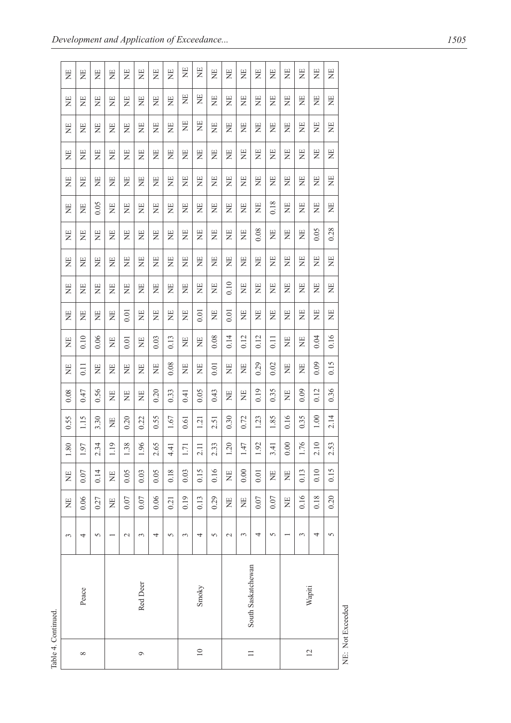| Ë<br>$\Xi$ | 岂<br>Ë            | Ë<br>Ë         | Ë<br>Ë | Ë<br>Ë   | $\Xi$<br>Ë | ΣR<br>ΣN | Ë<br>$\Xi$                                | Ë<br>Ë | Ë<br>岂   | Ë<br>岂         | Ë<br>Ë          | ΣÄ<br>Ë  | $\Xi$<br>$\Xi$     | Ë<br>Ξ                          | 岂<br>Ë   | Ë<br>Ë | Ë<br>Ë         | Ë<br>岂 |
|------------|-------------------|----------------|--------|----------|------------|----------|-------------------------------------------|--------|----------|----------------|-----------------|----------|--------------------|---------------------------------|----------|--------|----------------|--------|
| Ë          | $\Xi$             | $\Xi$          | 岂      | Ë        | Ë          | Ë        | $\Xi$                                     | $\Xi$  | $\Xi$    | 岂              | Ë               | Ë        | Ë                  | Ë                               | $\Xi$    | Ξ      | 岂              | 岂      |
| Ë          | Ë                 | $\Xi$          | Ë      | Ë        | Ë          | 岂        | Ë                                         | Ë      | $\Xi$    | $\Xi$          | Ë               | Ë        | 岂                  | Ë                               | Ë        | $\Xi$  | $\Xi$          | Ë      |
| Ë          | Ë                 | Ë              | $\Xi$  | $\Xi$    | Ë          | 岂        | Ë                                         | Ë      | 岂        | Ë              | ΣN              | Ë        | Ë                  | Ë                               | Ë        | Ë      | Ë              | Ë      |
| Ë          | Ë                 | 0.05           | 岂      | Ë        | $\Xi$      | Ë        | Ë                                         | Ë      | Ë        | Ë              | Ë               | $\Xi$    | $\Xi$              | 0.18                            | Ë        | Ë      | Ë              | Ë      |
| $\Xi$      | Ë                 | Ë              | Ë      | Ë        | Ë          | Ξ        | $\Xi$                                     | Ë      | Ë        | Ë              | 岂               | Ë        | 0.08               | Ξ                               | Ë        | Ë      | 0.05           | 0.28   |
| $\Xi$      | $\Xi$             | Ë              | Ë      | Ë        | Ë          | Ë        | $\Xi$                                     | $\Xi$  | Ë        | Ë              | Ë               | 岂        | Ë                  | Ë                               | $\Xi$    | Ξ      | 岂              | 岂      |
| Ë          | Ë                 | Ë              | Ë      | Ë        | Ë          | 岂        | Ë                                         | Ë      | $\Xi$    | Ë              | 0.10            | Ë        | 岂                  | 岂                               | Ë        | $\Xi$  | $\Xi$          | Ë      |
| Ë          | Ë                 | Ë              | Ξ      | 0.01     | Ë          | 岂        | 岂                                         | Ë      | 0.01     | Ë              | 0.01            | Ë        | Ë                  | Ë                               | Ë        | Ë      | Ξ              | Ξ      |
| Ë          | 0.10              | 0.06           | Ë      | 0.01     | $\Xi$      | 0.03     | 0.13                                      | Ë      | Ë        | 0.08           | 0.14            | 0.12     | 0.12               | 0.11                            | Ë        | Ë      | 0.04           | 0.16   |
| $\Xi$      | $\overline{0.11}$ | Ë              | Ë      | Ë        | Ë          | Ξ        | 0.08                                      | Ë      | Ë        | 0.01           | Ë               | Ë        | 0.29               | 0.02                            | Ë        | Ë      | 0.09           | 0.15   |
| 0.08       | 0.47              | 0.56           | Ë      | Ë        | Ë          | 0.20     | 0.33                                      | 0.41   | 0.05     | 0.43           | Ë               | Ë        | 0.19               | 0.35                            | $\Xi$    | 0.09   | 0.12           | 0.36   |
| 0.55       | 1.15              | 3.30           | ΣÄ     | 0.20     | 0.22       | 0.55     | 1.67                                      | 0.61   | 1.21     | 2.51           | 0.30            | 0.72     | 1.23               | 1.85                            | 0.16     | 0.35   | 1.00           | 2.14   |
| $1.80\,$   | 1.97              | 2.34           | 1.19   | $1.38\,$ | 1.96       | 2.65     | $\overline{\phantom{0}}$<br>$\frac{4}{4}$ | 1.7    | 2.1      | 2.33           | $1.20$          | $1.47\,$ | 1.92               | $\overline{\phantom{a}}$<br>3.4 | $0.00\,$ | 1.76   | 2.10           | 2.53   |
| Ë          | 0.07              | 0.14           | Ë      | 0.05     | 0.03       | 0.05     | 0.18                                      | 0.03   | 0.15     | 0.16           | $\Xi$           | 0.00     | 0.01               | Ë                               | Ë        | 0.13   | 0.10           | 0.15   |
| Ë          | 0.06              | 0.27           | Ë      | 0.07     | 0.07       | 0.06     | 0.21                                      | 0.19   | 0.13     | 0.29           | Ë               | Ë        | $0.07$             | $0.07$                          | Ë        | 0.16   | 0.18           | 0.20   |
| 3          | 4                 | $\overline{5}$ |        | $\sim$   | 3          | 4        | 5                                         | 3      | 4        | $\overline{5}$ | $\mathbf{\sim}$ | 3        | 4                  | $\sim$                          |          | 3      | 4              | 5      |
|            | Peace             |                |        |          | Red Deer   |          |                                           |        | Smoky    |                |                 |          | South Saskatchewan |                                 |          |        | Wapiti         |        |
|            | $\infty$          |                |        |          | 9          |          |                                           |        | $\equiv$ |                |                 |          | $\equiv$           |                                 |          |        | $\overline{c}$ |        |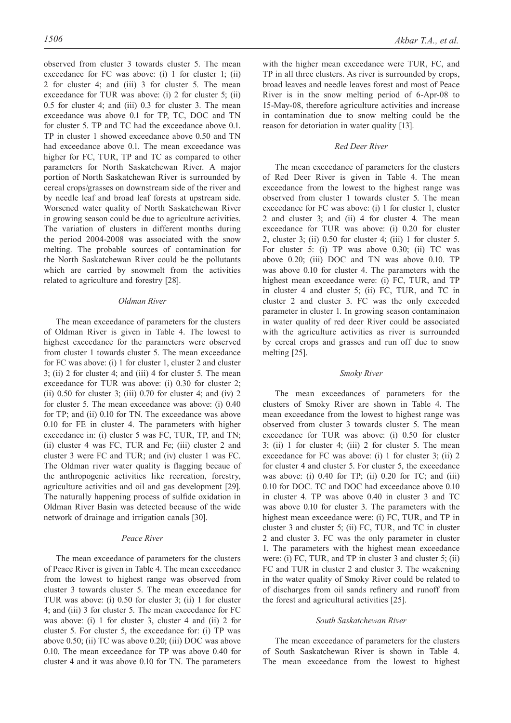observed from cluster 3 towards cluster 5. The mean exceedance for FC was above: (i) 1 for cluster 1; (ii) 2 for cluster 4; and (iii) 3 for cluster 5. The mean exceedance for TUR was above: (i) 2 for cluster 5; (ii) 0.5 for cluster 4; and (iii) 0.3 for cluster 3. The mean exceedance was above 0.1 for TP, TC, DOC and TN for cluster 5. TP and TC had the exceedance above 0.1. TP in cluster 1 showed exceedance above 0.50 and TN had exceedance above 0.1. The mean exceedance was higher for FC, TUR, TP and TC as compared to other parameters for North Saskatchewan River. A major portion of North Saskatchewan River is surrounded by cereal crops/grasses on downstream side of the river and by needle leaf and broad leaf forests at upstream side. Worsened water quality of North Saskatchewan River in growing season could be due to agriculture activities. The variation of clusters in different months during the period 2004-2008 was associated with the snow melting. The probable sources of contamination for the North Saskatchewan River could be the pollutants which are carried by snowmelt from the activities related to agriculture and forestry [28].

## *Oldman River*

The mean exceedance of parameters for the clusters of Oldman River is given in Table 4. The lowest to highest exceedance for the parameters were observed from cluster 1 towards cluster 5. The mean exceedance for FC was above: (i) 1 for cluster 1, cluster 2 and cluster 3; (ii) 2 for cluster 4; and (iii) 4 for cluster 5. The mean exceedance for TUR was above: (i) 0.30 for cluster 2; (ii)  $0.50$  for cluster 3; (iii)  $0.70$  for cluster 4; and (iv) 2 for cluster 5. The mean exceedance was above: (i) 0.40 for TP; and (ii) 0.10 for TN. The exceedance was above 0.10 for FE in cluster 4. The parameters with higher exceedance in: (i) cluster 5 was FC, TUR, TP, and TN; (ii) cluster 4 was FC, TUR and Fe; (iii) cluster 2 and cluster 3 were FC and TUR; and (iv) cluster 1 was FC. The Oldman river water quality is flagging becaue of the anthropogenic activities like recreation, forestry, agriculture activities and oil and gas development [29]. The naturally happening process of sulfide oxidation in Oldman River Basin was detected because of the wide network of drainage and irrigation canals [30].

# *Peace River*

The mean exceedance of parameters for the clusters of Peace River is given in Table 4. The mean exceedance from the lowest to highest range was observed from cluster 3 towards cluster 5. The mean exceedance for TUR was above: (i) 0.50 for cluster 3; (ii) 1 for cluster 4; and (iii) 3 for cluster 5. The mean exceedance for FC was above: (i) 1 for cluster 3, cluster 4 and (ii) 2 for cluster 5. For cluster 5, the exceedance for: (i) TP was above 0.50; (ii) TC was above 0.20; (iii) DOC was above 0.10. The mean exceedance for TP was above 0.40 for cluster 4 and it was above 0.10 for TN. The parameters with the higher mean exceedance were TUR, FC, and TP in all three clusters. As river is surrounded by crops, broad leaves and needle leaves forest and most of Peace River is in the snow melting period of 6-Apr-08 to 15-May-08, therefore agriculture activities and increase in contamination due to snow melting could be the reason for detoriation in water quality [13].

# *Red Deer River*

The mean exceedance of parameters for the clusters of Red Deer River is given in Table 4. The mean exceedance from the lowest to the highest range was observed from cluster 1 towards cluster 5. The mean exceedance for FC was above: (i) 1 for cluster 1, cluster 2 and cluster 3; and (ii) 4 for cluster 4. The mean exceedance for TUR was above: (i) 0.20 for cluster 2, cluster 3; (ii) 0.50 for cluster 4; (iii) 1 for cluster 5. For cluster 5: (i) TP was above 0.30; (ii) TC was above 0.20; (iii) DOC and TN was above 0.10. TP was above 0.10 for cluster 4. The parameters with the highest mean exceedance were: (i) FC, TUR, and TP in cluster 4 and cluster 5; (ii) FC, TUR, and TC in cluster 2 and cluster 3. FC was the only exceeded parameter in cluster 1. In growing season contaminaion in water quality of red deer River could be associated with the agriculture activities as river is surrounded by cereal crops and grasses and run off due to snow melting [25].

#### *Smoky River*

The mean exceedances of parameters for the clusters of Smoky River are shown in Table 4. The mean exceedance from the lowest to highest range was observed from cluster 3 towards cluster 5. The mean exceedance for TUR was above: (i) 0.50 for cluster 3; (ii) 1 for cluster 4; (iii) 2 for cluster 5. The mean exceedance for FC was above: (i) 1 for cluster 3; (ii) 2 for cluster 4 and cluster 5. For cluster 5, the exceedance was above: (i) 0.40 for TP; (ii) 0.20 for TC; and (iii) 0.10 for DOC. TC and DOC had exceedance above 0.10 in cluster 4. TP was above 0.40 in cluster 3 and TC was above 0.10 for cluster 3. The parameters with the highest mean exceedance were: (i) FC, TUR, and TP in cluster 3 and cluster 5; (ii) FC, TUR, and TC in cluster 2 and cluster 3. FC was the only parameter in cluster 1. The parameters with the highest mean exceedance were: (i) FC, TUR, and TP in cluster 3 and cluster 5; (ii) FC and TUR in cluster 2 and cluster 3. The weakening in the water quality of Smoky River could be related to of discharges from oil sands refinery and runoff from the forest and agricultural activities [25].

## *South Saskatchewan River*

The mean exceedance of parameters for the clusters of South Saskatchewan River is shown in Table 4. The mean exceedance from the lowest to highest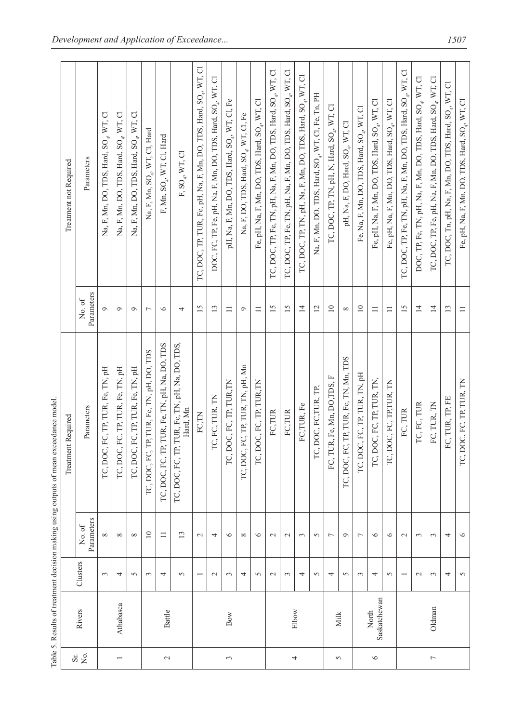|                          |                       |                 |                     | Table 5. Results of treatment decision making using outputs of mean exceedance model |                      |                                                                              |
|--------------------------|-----------------------|-----------------|---------------------|--------------------------------------------------------------------------------------|----------------------|------------------------------------------------------------------------------|
| $\rm Sr$                 |                       |                 |                     | Treatment Required                                                                   |                      | Treatment not Required                                                       |
| Σó.                      | Rivers                | Clusters        | Parameters<br>No.of | Parameters                                                                           | Parameters<br>No. of | Parameters                                                                   |
|                          |                       | $\epsilon$      | $\infty$            | FC, TP, TUR, Fe, TN, pH<br>TC, DOC,                                                  | $\circ$              | Na, F, Mn, DO, TDS, Hard, SO <sub>4</sub> , WT, Cl                           |
| $\overline{\phantom{0}}$ | Athabasca             | 4               | $\infty$            | , FC, TP, TUR, Fe, TN, pH<br>TC, DOC,                                                | $\circ$              | Na, F, Mn, DO, TDS, Hard, SO <sub>4</sub> , WT, Cl                           |
|                          |                       | $\sim$          | $\infty$            | FC, TP, TUR, Fe, TN, pH<br>TC, DOC                                                   | $\sigma$             | Na, F, Mn, DO, TDS, Hard, SO <sub>4</sub> , WT, Cl                           |
|                          |                       | 3               | $\overline{10}$     | TP, TUR, Fe, TN, pH, DO, TDS<br>TC, DOC, FC,                                         | $\overline{ }$       | Na, F, Mn, SO <sub>4</sub> , WT, Cl, Hard                                    |
| $\mathcal{L}$            | <b>Battle</b>         | 4               | $\equiv$            | ?, TUR, Fe, TN, pH, Na, DO, TDS<br>TC, DOC, FC, TI                                   | $\circ$              | F, Mn, $SO_4$ , WT, Cl, Hard                                                 |
|                          |                       | 5               | $\overline{13}$     | , TUR, Fe, TN, pH, Na, DO, TDS,<br>Hard, Mn<br>TC, DOC, FC, TF                       | 4                    | F, SO <sub>4</sub> , WT, Cl                                                  |
|                          |                       |                 | $\sim$              | FC, TN                                                                               | $\overline{15}$      | TC, DOC, TP, TUR, Fe, pH, Na, F, Mn, DO, TDS, Hard, SO <sub>4</sub> , WT, Cl |
|                          |                       | $\mathbf{\sim}$ | 4                   | IC, FC, TUR, TN                                                                      | $\mathbf{13}$        | DOC, FC, TP, Fe, pH, Na, F, Mn, DO, TDS, Hard, SO <sub>4</sub> , WT, Cl      |
| 3                        | Bow                   | $\epsilon$      | $\circ$             | DOC, FC, TP, TUR, TN<br>TC,                                                          | $\equiv$             | pH, Na, F, Mn, DO, TDS, Hard, SO <sub>4</sub> , WT, Cl, Fe                   |
|                          |                       | 4               | $\infty$            | FC, TP, TUR, TN, pH, Mn<br>TC, DOC,                                                  | $\circ$              | Na, F, DO, TDS, Hard, SO <sub>4</sub> , WT, Cl, Fe                           |
|                          |                       | 5               | $\circ$             | DOC, FC, TP, TUR, TN<br>TC,                                                          | $\equiv$             | Fe, pH, Na, F, Mn, DO, TDS, Hard, SO <sub>4</sub> , WT, Cl                   |
|                          |                       | $\mathbf{\sim}$ | $\mathcal{L}$       | FC,TUR                                                                               | 15                   | TC, DOC, TP, Fe, TN, pH, Na, F, Mn, DO, TDS, Hard, SO <sub>4</sub> , WT, Cl  |
|                          | Elbow                 | 3               | $\mathcal{L}$       | FC,TUR                                                                               | $\overline{15}$      | TC, DOC, TP, Fe, TN, pH, Na, F, Mn, DO, TDS, Hard, SO <sub>4</sub> , WT, Cl  |
| 4                        |                       | 4               | $\epsilon$          | FC,TUR, Fe                                                                           | $\overline{4}$       | TC, DOC, TP, TN, pH, Na, F, Mn, DO, TDS, Hard, SO <sub>4</sub> , WT, Cl      |
|                          |                       | $\sim$          | $\sim$              | DOC, FC, TUR, TP,<br>TC.                                                             | $\overline{c}$       | Na, F, Mn, DO, TDS, Hard, SO <sub>4</sub> , WT, Cl, Fe, Tn, PH               |
|                          |                       | 4               | $\overline{ }$      | JR, Fe, Mn, DO, TDS, F<br>FC, TL                                                     | $\overline{10}$      | TC, DOC, TP, TN, pH, N, Hard, SO <sub>4</sub> , WT, Cl                       |
| 5                        | Milk                  | $\sim$          | $\circ$             | C, TP, TUR, Fe, TN, Mn, TDS<br>TC, DOC, F                                            | $\infty$             | pH, Na, F, DO, Hard, SO <sub>4</sub> , WT, Cl                                |
|                          |                       | 3               | $\overline{ }$      | C, FC, TP, TUR, TN, pH<br>TC, DO                                                     | $\supseteq$          | Fe, Na, F, Mn, DO, TDS, Hard, SO <sub>4</sub> , WT, Cl                       |
| $\circ$                  | Saskatchewan<br>North | 4               | $\circ$             | TC, DOC, FC, TP, TUR, TN,                                                            | $\equiv$             | Fe, pH, Na, F, Mn, DO, TDS, Hard, SO <sub>4</sub> , WT, Cl                   |
|                          |                       | 5               | $\circ$             | DOC, FC, TP, TUR, TN<br>TC,                                                          | $\equiv$             | Fe, pH, Na, F, Mn, DO, TDS, Hard, SO <sub>4</sub> , WT, Cl                   |
|                          |                       |                 | $\sim$              | FC, TUR                                                                              | $\overline{15}$      | TC, DOC, TP, Fe, TN, pH, Na, F, Mn, DO, TDS, Hard, SO <sub>4</sub> , WT, Cl  |
|                          |                       | $\mathbf{\sim}$ | $\epsilon$          | TC, FC, TUR                                                                          | $\overline{4}$       | DOC, TP, Fe, TN, pH, Na, F, Mn, DO, TDS, Hard, SO <sub>4</sub> , WT, Cl      |
| $\overline{ }$           | Oldman                | 3               | $\epsilon$          | FC, TUR, TN                                                                          | $\overline{4}$       | TC, DOC, TP, Fe, pH, Na, F, Mn, DO, TDS, Hard, SO <sub>4</sub> , WT, Cl      |
|                          |                       | 4               | 4                   | FC, TUR, TP, FE                                                                      | $\mathbf{13}$        | IC, DOC, Tn, pH, Na, F, Mn, DO, TDS, Hard, SO <sub>4</sub> , WT, Cl          |
|                          |                       | $\sigma$        | $\circ$             | TC, DOC, FC, TP, TUR, TN                                                             | $\Box$               | Fe, pH, Na, F, Mn, DO, TDS, Hard, SO <sub>4</sub> , WT, Cl                   |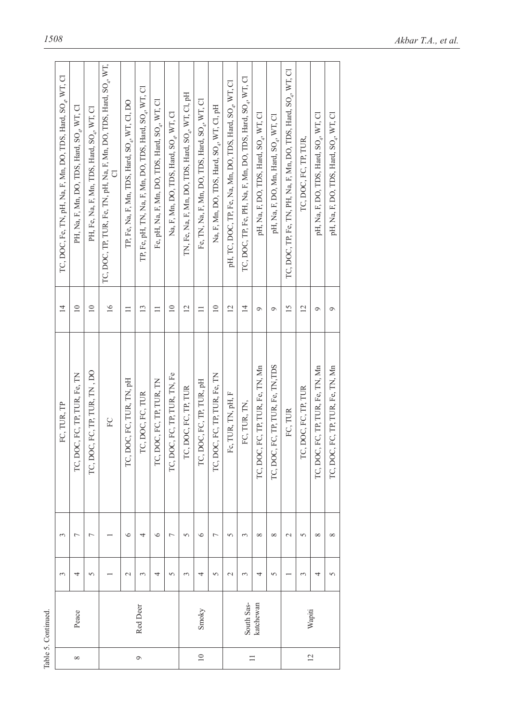|                | Table 5. Continued. |               |                |                                      |                 |                                                                                    |
|----------------|---------------------|---------------|----------------|--------------------------------------|-----------------|------------------------------------------------------------------------------------|
|                |                     | $\sim$        | 3              | FC, TUR, TP                          | $\overline{4}$  | TC, DOC, Fe, TN, pH, Na, F, Mn, DO, TDS, Hard, SO <sub>4</sub> , WT, Cl            |
| $\infty$       | Peace               | 4             | $\overline{ }$ | TC, DOC, FC, TP, TUR, Fe, TN         | $\supseteq$     | PH, Na, F, Mn, DO, TDS, Hard, SO <sub>4</sub> , WT, Cl                             |
|                |                     | 5             | Γ              | TC, DOC, FC, TP, TUR, TN, DO         | $\overline{a}$  | PH, Fe, Na, F, Mn, TDS, Hard, SO <sub>4</sub> , WT, Cl                             |
|                |                     |               |                | ${\rm FC}$                           | $\overline{16}$ | TC, DOC, TP, TUR, Fe, TN, pH, Na, F, Mn, DO, TDS, Hard, SO <sub>4</sub> , WT,<br>ರ |
|                |                     | $\mathcal{L}$ | $\circ$        | TC, DOC, FC, TUR, TN, pH             | $\equiv$        | TP, Fe, Na, F, Mn, TDS, Hard, SO <sub>4</sub> , WT, Cl, DO                         |
| $\circ$        | Red Deer            | 3             | 4              | TC, DOC, FC, TUR                     | $\overline{13}$ | TP, Fe, pH, TN, Na, F, Mn, DO, TDS, Hard, SO <sub>4</sub> , WT, Cl                 |
|                |                     | 4             | $\circ$        | TC, DOC, FC, TP, TUR, TN             | $\equiv$        | Fe, pH, Na, F, Mn, DO, TDS, Hard, SO <sub>4</sub> , WT, Cl                         |
|                |                     | 5             | $\overline{ }$ | TC, DOC, FC, TP, TUR, TN, Fe         | $\supseteq$     | Na, F, Mn, DO, TDS, Hard, SO <sub>4</sub> , WT, Cl                                 |
|                |                     | $\sim$        | $\overline{5}$ | TC, DOC, FC, TP, TUR                 | $\overline{c}$  | IN, Fe, Na, F, Mn, DO, TDS, Hard, SO <sub>4</sub> , WT, Cl, pH                     |
| $\equiv$       | Smoky               | 4             | $\circ$        | TC, DOC, FC, TP, TUR, pH             | $\equiv$        | Fe, TN, Na, F, Mn, DO, TDS, Hard, SO <sub>4</sub> , WT, Cl                         |
|                |                     | 5             | $\overline{ }$ | TC, DOC, FC, TP, TUR, Fe, TN         | $\overline{10}$ | Na, F, Mn, DO, TDS, Hard, SO <sub>4</sub> , WT, C1, pH                             |
|                |                     | $\sim$        | 5              | Fc, TUR, TN, pH, F                   | $\overline{c}$  | pH, TC, DOC, TP, Fe, Na, Mn, DO, TDS, Hard, SO <sub>4</sub> , WT, Cl               |
| $\equiv$       | South Sas-          | 3             | 3              | FC, TUR, TN,                         | $\overline{4}$  | TC, DOC, TP, Fe, PH, Na, F, Mn, DO, TDS, Hard, SO <sub>4</sub> , WT, Cl            |
|                | katchewan           | 4             | ${}^{\circ}$   | TC, DOC, FC, TP, TUR, Fe, TN, Mn     | $\circ$         | pH, Na, F, DO, TDS, Hard, SO <sub>4</sub> , WT, Cl                                 |
|                |                     | $\sqrt{2}$    | $\infty$       | FC, TP, TUR, Fe, TN, TDS<br>TC, DOC, | $\sigma$        | pH, Na, F, DO, Mn, Hard, SO <sub>4</sub> , WT, Cl                                  |
|                |                     |               | $\mathcal{L}$  | FC, TUR                              | 15              | TC, DOC, TP, Fe, TN, PH, Na, F, Mn, DO, TDS, Hard, SO <sub>4</sub> , WT, Cl        |
| $\overline{c}$ |                     | 3             | 5              | TC, DOC, FC, TP, TUR                 | $\overline{c}$  | TC, DOC, FC, TP, TUR,                                                              |
|                | Wapiti              | 4             | $\infty$       | TC, DOC, FC, TP, TUR, Fe, TN, Mn     | Ò               | pH, Na, F, DO, TDS, Hard, SO <sub>4</sub> , WT, Cl                                 |
|                |                     | 5             | $\infty$       | TC, DOC, FC, TP, TUR, Fe, TN, Mn     | Ó               | pH, Na, F, DO, TDS, Hard, SO <sub>a</sub> , WT, Cl                                 |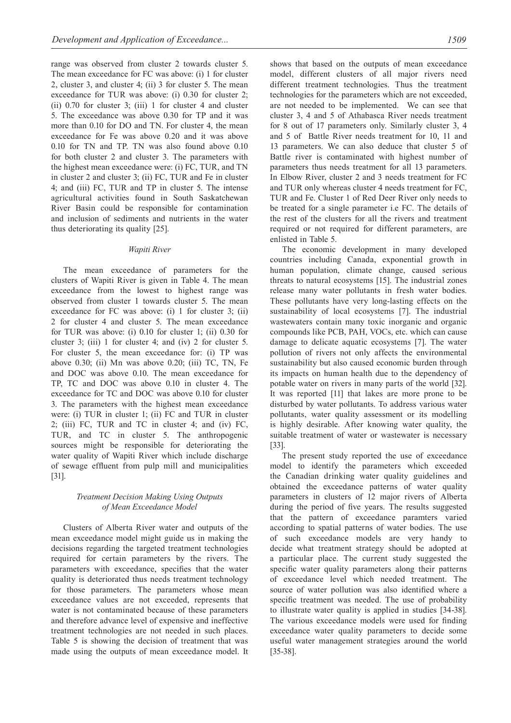range was observed from cluster 2 towards cluster 5. The mean exceedance for FC was above: (i) 1 for cluster 2, cluster 3, and cluster 4; (ii) 3 for cluster 5. The mean exceedance for TUR was above: (i) 0.30 for cluster 2; (ii) 0.70 for cluster 3; (iii) 1 for cluster 4 and cluster 5. The exceedance was above 0.30 for TP and it was more than 0.10 for DO and TN. For cluster 4, the mean exceedance for Fe was above 0.20 and it was above 0.10 for TN and TP. TN was also found above 0.10 for both cluster 2 and cluster 3. The parameters with the highest mean exceedance were: (i) FC, TUR, and TN in cluster 2 and cluster 3; (ii) FC, TUR and Fe in cluster 4; and (iii) FC, TUR and TP in cluster 5. The intense agricultural activities found in South Saskatchewan River Basin could be responsible for contamination and inclusion of sediments and nutrients in the water thus deteriorating its quality [25].

# *Wapiti River*

The mean exceedance of parameters for the clusters of Wapiti River is given in Table 4. The mean exceedance from the lowest to highest range was observed from cluster 1 towards cluster 5. The mean exceedance for FC was above: (i) 1 for cluster 3; (ii) 2 for cluster 4 and cluster 5. The mean exceedance for TUR was above: (i) 0.10 for cluster 1; (ii) 0.30 for cluster 3; (iii) 1 for cluster 4; and (iv) 2 for cluster 5. For cluster 5, the mean exceedance for: (i) TP was above 0.30; (ii) Mn was above 0.20; (iii) TC, TN, Fe and DOC was above 0.10. The mean exceedance for TP, TC and DOC was above 0.10 in cluster 4. The exceedance for TC and DOC was above 0.10 for cluster 3. The parameters with the highest mean exceedance were: (i) TUR in cluster 1; (ii) FC and TUR in cluster 2; (iii) FC, TUR and TC in cluster 4; and (iv) FC, TUR, and TC in cluster 5. The anthropogenic sources might be responsible for deteriorating the water quality of Wapiti River which include discharge of sewage effluent from pulp mill and municipalities [31].

# *Treatment Decision Making Using Outputs of Mean Exceedance Model*

Clusters of Alberta River water and outputs of the mean exceedance model might guide us in making the decisions regarding the targeted treatment technologies required for certain parameters by the rivers. The parameters with exceedance, specifies that the water quality is deteriorated thus needs treatment technology for those parameters. The parameters whose mean exceedance values are not exceeded, represents that water is not contaminated because of these parameters and therefore advance level of expensive and ineffective treatment technologies are not needed in such places. Table 5 is showing the decision of treatment that was made using the outputs of mean exceedance model. It shows that based on the outputs of mean exceedance model, different clusters of all major rivers need different treatment technologies. Thus the treatment technologies for the parameters which are not exceeded, are not needed to be implemented. We can see that cluster 3, 4 and 5 of Athabasca River needs treatment for 8 out of 17 parameters only. Similarly cluster 3, 4 and 5 of Battle River needs treatment for 10, 11 and 13 parameters. We can also deduce that cluster 5 of Battle river is contaminated with highest number of parameters thus needs treatment for all 13 parameters. In Elbow River, cluster 2 and 3 needs treatment for FC and TUR only whereas cluster 4 needs treatment for FC, TUR and Fe. Cluster 1 of Red Deer River only needs to be treated for a single parameter i.e FC. The details of the rest of the clusters for all the rivers and treatment required or not required for different parameters, are enlisted in Table 5.

The economic development in many developed countries including Canada, exponential growth in human population, climate change, caused serious threats to natural ecosystems [15]. The industrial zones release many water pollutants in fresh water bodies. These pollutants have very long-lasting effects on the sustainability of local ecosystems [7]. The industrial wastewaters contain many toxic inorganic and organic compounds like PCB, PAH, VOCs, etc. which can cause damage to delicate aquatic ecosystems [7]. The water pollution of rivers not only affects the environmental sustainability but also caused economic burden through its impacts on human health due to the dependency of potable water on rivers in many parts of the world [32]. It was reported [11] that lakes are more prone to be disturbed by water pollutants. To address various water pollutants, water quality assessment or its modelling is highly desirable. After knowing water quality, the suitable treatment of water or wastewater is necessary [33].

The present study reported the use of exceedance model to identify the parameters which exceeded the Canadian drinking water quality guidelines and obtained the exceedance patterns of water quality parameters in clusters of 12 major rivers of Alberta during the period of five years. The results suggested that the pattern of exceedance paramters varied according to spatial patterns of water bodies. The use of such exceedance models are very handy to decide what treatment strategy should be adopted at a particular place. The current study suggested the specific water quality parameters along their patterns of exceedance level which needed treatment. The source of water pollution was also identified where a specific treatment was needed. The use of probability to illustrate water quality is applied in studies [34-38]. The various exceedance models were used for finding exceedance water quality parameters to decide some useful water management strategies around the world [35-38].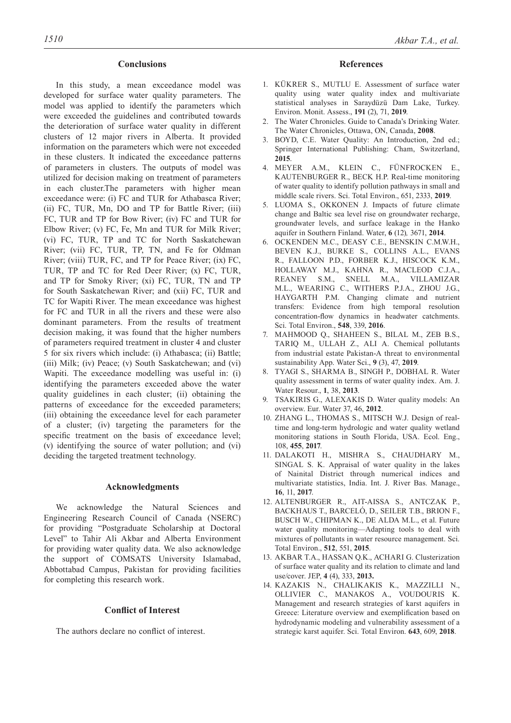# **Conclusions**

In this study, a mean exceedance model was developed for surface water quality parameters. The model was applied to identify the parameters which were exceeded the guidelines and contributed towards the deterioration of surface water quality in different clusters of 12 major rivers in Alberta. It provided information on the parameters which were not exceeded in these clusters. It indicated the exceedance patterns of parameters in clusters. The outputs of model was utilized for decision making on treatment of parameters in each cluster.The parameters with higher mean exceedance were: (i) FC and TUR for Athabasca River; (ii) FC, TUR, Mn, DO and TP for Battle River; (iii) FC, TUR and TP for Bow River; (iv) FC and TUR for Elbow River; (v) FC, Fe, Mn and TUR for Milk River; (vi) FC, TUR, TP and TC for North Saskatchewan River; (vii) FC, TUR, TP, TN, and Fe for Oldman River; (viii) TUR, FC, and TP for Peace River; (ix) FC, TUR, TP and TC for Red Deer River; (x) FC, TUR, and TP for Smoky River; (xi) FC, TUR, TN and TP for South Saskatchewan River; and (xii) FC, TUR and TC for Wapiti River. The mean exceedance was highest for FC and TUR in all the rivers and these were also dominant parameters. From the results of treatment decision making, it was found that the higher numbers of parameters required treatment in cluster 4 and cluster 5 for six rivers which include: (i) Athabasca; (ii) Battle; (iii) Milk; (iv) Peace; (v) South Saskatchewan; and (vi) Wapiti. The exceedance modelling was useful in: (i) identifying the parameters exceeded above the water quality guidelines in each cluster; (ii) obtaining the patterns of exceedance for the exceeded parameters; (iii) obtaining the exceedance level for each parameter of a cluster; (iv) targeting the parameters for the specific treatment on the basis of exceedance level; (v) identifying the source of water pollution; and (vi) deciding the targeted treatment technology.

# **Acknowledgments**

We acknowledge the Natural Sciences and Engineering Research Council of Canada (NSERC) for providing "Postgraduate Scholarship at Doctoral Level" to Tahir Ali Akbar and Alberta Environment for providing water quality data. We also acknowledge the support of COMSATS University Islamabad, Abbottabad Campus, Pakistan for providing facilities for completing this research work.

# **Conflict of Interest**

The authors declare no conflict of interest.

# **References**

- 1. KÜKRER S., MUTLU E. Assessment of surface water quality using water quality index and multivariate statistical analyses in Saraydüzü Dam Lake, Turkey. Environ. Monit. Assess., **191** (2), 71, **2019**.
- 2. The Water Chronicles. Guide to Canada's Drinking Water. The Water Chronicles, Ottawa, ON, Canada, **2008**.
- 3. BOYD, C.E. Water Quality: An Introduction, 2nd ed.; Springer International Publishing: Cham, Switzerland, **2015**.
- 4. MEYER A.M., KLEIN C., FÜNFROCKEN E., KAUTENBURGER R., BECK H.P. Real-time monitoring of water quality to identify pollution pathways in small and middle scale rivers. Sci. Total Environ., 651, 2333, **2019**.
- 5. LUOMA S., OKKONEN J. Impacts of future climate change and Baltic sea level rise on groundwater recharge, groundwater levels, and surface leakage in the Hanko aquifer in Southern Finland. Water, **6** (12)*,* 3671, **2014**.
- 6. OCKENDEN M.C., DEASY C.E., BENSKIN C.M.W.H., BEVEN K.J., BURKE S., COLLINS A.L., EVANS R., FALLOON P.D., FORBER K.J., HISCOCK K.M., HOLLAWAY M.J., KAHNA R., MACLEOD C.J.A., REANEY S.M., SNELL M.A., VILLAMIZAR M.L., WEARING C., WITHERS P.J.A., ZHOU J.G., HAYGARTH P.M. Changing climate and nutrient transfers: Evidence from high temporal resolution concentration-flow dynamics in headwater catchments. Sci. Total Environ., **548**, 339, **2016**.
- 7. MAHMOOD Q., SHAHEEN S., BILAL M., ZEB B.S., TARIQ M., ULLAH Z., ALI A. Chemical pollutants from industrial estate Pakistan-A threat to environmental sustainability App. Water Sci., **9** (3), 47, **2019**.
- 8. TYAGI S., SHARMA B., SINGH P., DOBHAL R. Water quality assessment in terms of water quality index. Am. J. Water Resour., **1**, 38, **2013**.
- 9. TSAKIRIS G., ALEXAKIS D. Water quality models: An overview. Eur. Water 37, 46, **2012**.
- 10. ZHANG L., THOMAS S., MITSCH W.J. Design of realtime and long-term hydrologic and water quality wetland monitoring stations in South Florida, USA. Ecol. Eng., 108, **455**, **2017**.
- 11. DALAKOTI H., MISHRA S., CHAUDHARY M., SINGAL S. K. Appraisal of water quality in the lakes of Nainital District through numerical indices and multivariate statistics, India. Int. J. River Bas. Manage., **16**, 11, **2017**.
- 12. ALTENBURGER R., AIT-AISSA S., ANTCZAK P., BACKHAUS T., BARCELÓ, D., SEILER T.B., BRION F., BUSCH W., CHIPMAN K., DE ALDA M.L., et al. Future water quality monitoring—Adapting tools to deal with mixtures of pollutants in water resource management. Sci. Total Environ., **512**, 551, **2015**.
- 13. AKBAR T.A., HASSAN Q.K., ACHARI G. Clusterization of surface water quality and its relation to climate and land use/cover. JEP, **4** (4), 333, **2013.**
- 14. KAZAKIS N., CHALIKAKIS K., MAZZILLI N., OLLIVIER C., MANAKOS A., VOUDOURIS K. Management and research strategies of karst aquifers in Greece: Literature overview and exemplification based on hydrodynamic modeling and vulnerability assessment of a strategic karst aquifer. Sci. Total Environ. **643**, 609, **2018**.